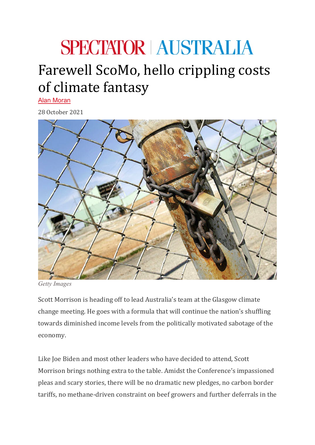## **SPECTATOR AUSTRALIA**

## Farewell ScoMo, hello crippling costs of climate fantasy

[Alan Moran](https://www.spectator.com.au/author/alanmoran/)

28 October 2021



*Getty Images*

Scott Morrison is heading off to lead Australia's team at the Glasgow climate change meeting. He goes with a formula that will continue the nation's shuffling towards diminished income levels from the politically motivated sabotage of the economy.

Like Joe Biden and most other leaders who have decided to attend, Scott Morrison brings nothing extra to the table. Amidst the Conference's impassioned pleas and scary stories, there will be no dramatic new pledges, no carbon border tariffs, no methane-driven constraint on beef growers and further deferrals in the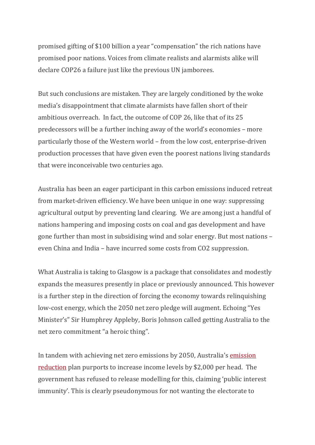promised gifting of \$100 billion a year "compensation" the rich nations have promised poor nations. Voices from climate realists and alarmists alike will declare COP26 a failure just like the previous UN jamborees.

But such conclusions are mistaken. They are largely conditioned by the woke media's disappointment that climate alarmists have fallen short of their ambitious overreach. In fact, the outcome of COP 26, like that of its 25 predecessors will be a further inching away of the world's economies – more particularly those of the Western world – from the low cost, enterprise-driven production processes that have given even the poorest nations living standards that were inconceivable two centuries ago.

Australia has been an eager participant in this carbon emissions induced retreat from market-driven efficiency. We have been unique in one way: suppressing agricultural output by preventing land clearing. We are among just a handful of nations hampering and imposing costs on coal and gas development and have gone further than most in subsidising wind and solar energy. But most nations – even China and India – have incurred some costs from CO2 suppression.

What Australia is taking to Glasgow is a package that consolidates and modestly expands the measures presently in place or previously announced. This however is a further step in the direction of forcing the economy towards relinquishing low-cost energy, which the 2050 net zero pledge will augment. Echoing "Yes Minister's" Sir Humphrey Appleby, Boris Johnson called getting Australia to the net zero commitment "a heroic thing".

In tandem with achieving net zero emissions by 2050, Australia's [emission](https://www.industry.gov.au/sites/default/files/October%202021/document/australias-long-term-emissions-reduction-plan.pdf)  [reduction](https://www.industry.gov.au/sites/default/files/October%202021/document/australias-long-term-emissions-reduction-plan.pdf) plan purports to increase income levels by \$2,000 per head. The government has refused to release modelling for this, claiming 'public interest immunity'. This is clearly pseudonymous for not wanting the electorate to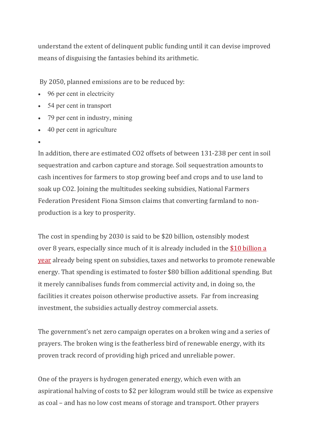understand the extent of delinquent public funding until it can devise improved means of disguising the fantasies behind its arithmetic.

By 2050, planned emissions are to be reduced by:

- 96 per cent in electricity
- 54 per cent in transport
- 79 per cent in industry, mining
- 40 per cent in agriculture
- •

In addition, there are estimated CO2 offsets of between 131-238 per cent in soil sequestration and carbon capture and storage. Soil sequestration amounts to cash incentives for farmers to stop growing beef and crops and to use land to soak up CO2. Joining the multitudes seeking subsidies, National Farmers Federation President Fiona Simson claims that converting farmland to nonproduction is a key to prosperity.

The cost in spending by 2030 is said to be \$20 billion, ostensibly modest over 8 years, especially since much of it is already included in the [\\$10 billion a](https://35b1ca50-ea91-45c2-825d-3e16b7926e46.filesusr.com/ugd/b6987c_4c95f7692ebe490f9b3beaa47e6a758a.pdf)  [year](https://35b1ca50-ea91-45c2-825d-3e16b7926e46.filesusr.com/ugd/b6987c_4c95f7692ebe490f9b3beaa47e6a758a.pdf) already being spent on subsidies, taxes and networks to promote renewable energy. That spending is estimated to foster \$80 billion additional spending. But it merely cannibalises funds from commercial activity and, in doing so, the facilities it creates poison otherwise productive assets. Far from increasing investment, the subsidies actually destroy commercial assets.

The government's net zero campaign operates on a broken wing and a series of prayers. The broken wing is the featherless bird of renewable energy, with its proven track record of providing high priced and unreliable power.

One of the prayers is hydrogen generated energy, which even with an aspirational halving of costs to \$2 per kilogram would still be twice as expensive as coal – and has no low cost means of storage and transport. Other prayers